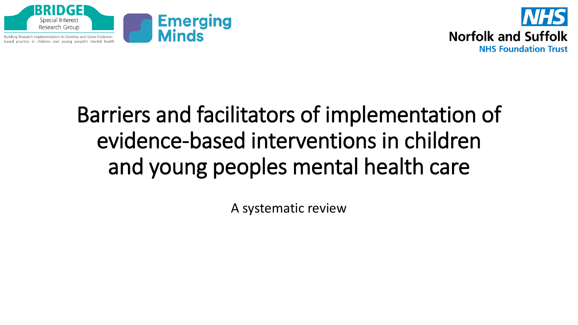



# Barriers and facilitators of implementation of evidence-based interventions in children and young peoples mental health care

A systematic review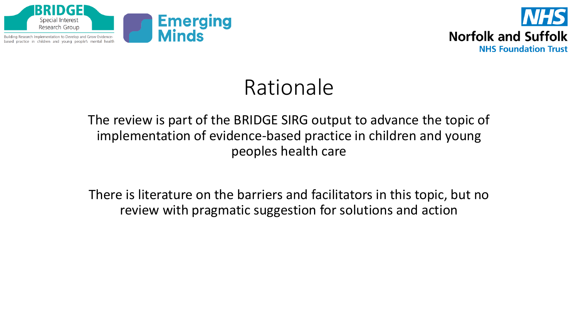



## Rationale

#### The review is part of the BRIDGE SIRG output to advance the topic of implementation of evidence-based practice in children and young peoples health care

There is literature on the barriers and facilitators in this topic, but no review with pragmatic suggestion for solutions and action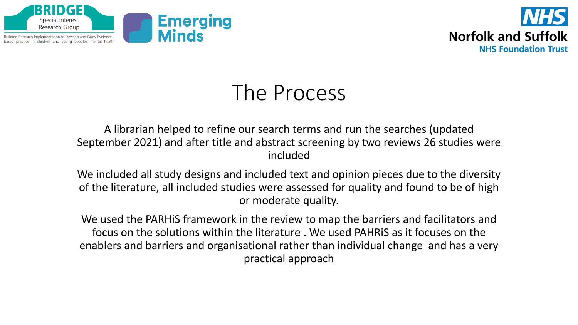



## The Process

A librarian helped to refine our search terms and run the searches (updated September 2021) and after title and abstract screening by two reviews 26 studies were included

We included all study designs and included text and opinion pieces due to the diversity of the literature, all included studies were assessed for quality and found to be of high or moderate quality.

We used the PARHiS framework in the review to map the barriers and facilitators and focus on the solutions within the literature . We used PAHRiS as it focuses on the enablers and barriers and organisational rather than individual change and has a very practical approach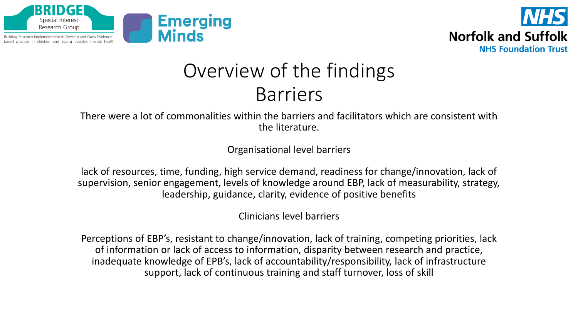



### Overview of the findings Barriers

#### There were a lot of commonalities within the barriers and facilitators which are consistent with the literature.

Organisational level barriers

lack of resources, time, funding, high service demand, readiness for change/innovation, lack of supervision, senior engagement, levels of knowledge around EBP, lack of measurability, strategy, leadership, guidance, clarity, evidence of positive benefits

Clinicians level barriers

Perceptions of EBP's, resistant to change/innovation, lack of training, competing priorities, lack of information or lack of access to information, disparity between research and practice, inadequate knowledge of EPB's, lack of accountability/responsibility, lack of infrastructure support, lack of continuous training and staff turnover, loss of skill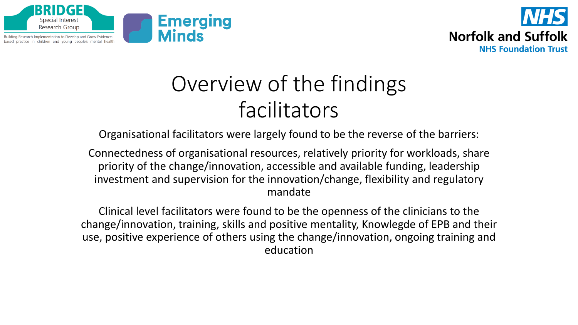



## Overview of the findings facilitators

Organisational facilitators were largely found to be the reverse of the barriers:

Connectedness of organisational resources, relatively priority for workloads, share priority of the change/innovation, accessible and available funding, leadership investment and supervision for the innovation/change, flexibility and regulatory mandate

Clinical level facilitators were found to be the openness of the clinicians to the change/innovation, training, skills and positive mentality, Knowlegde of EPB and their use, positive experience of others using the change/innovation, ongoing training and education